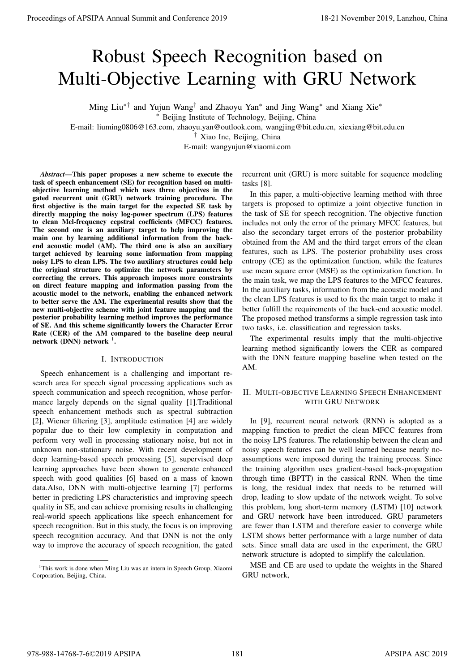# Robust Speech Recognition based on Multi-Objective Learning with GRU Network

Ming Liu∗† and Yujun Wang† and Zhaoyu Yan<sup>∗</sup> and Jing Wang<sup>∗</sup> and Xiang Xie<sup>∗</sup>

<sup>∗</sup> Beijing Institute of Technology, Beijing, China

E-mail: liuming0806@163.com, zhaoyu.yan@outlook.com, wangjing@bit.edu.cn, xiexiang@bit.edu.cn

† Xiao Inc, Beijing, China

E-mail: wangyujun@xiaomi.com

*Abstract*—This paper proposes a new scheme to execute the task of speech enhancement (SE) for recognition based on multiobjective learning method which uses three objectives in the gated recurrent unit (GRU) network training procedure. The first objective is the main target for the expected SE task by directly mapping the noisy log-power spectrum (LPS) features to clean Mel-frequency cepstral coefficients (MFCC) features. The second one is an auxiliary target to help improving the main one by learning additional information from the backend acoustic model (AM). The third one is also an auxiliary target achieved by learning some information from mapping noisy LPS to clean LPS. The two auxiliary structures could help the original structure to optimize the network parameters by correcting the errors. This approach imposes more constraints on direct feature mapping and information passing from the acoustic model to the network, enabling the enhanced network to better serve the AM. The experimental results show that the new multi-objective scheme with joint feature mapping and the posterior probability learning method improves the performance of SE. And this scheme significantly lowers the Character Error Rate (CER) of the AM compared to the baseline deep neural network (DNN) network  $^1$ .

#### I. INTRODUCTION

Speech enhancement is a challenging and important research area for speech signal processing applications such as speech communication and speech recognition, whose performance largely depends on the signal quality [1].Traditional speech enhancement methods such as spectral subtraction [2], Wiener filtering [3], amplitude estimation [4] are widely popular due to their low complexity in computation and perform very well in processing stationary noise, but not in unknown non-stationary noise. With recent development of deep learning-based speech processing [5], supervised deep learning approaches have been shown to generate enhanced speech with good qualities [6] based on a mass of known data.Also, DNN with multi-objective learning [7] performs better in predicting LPS characteristics and improving speech quality in SE, and can achieve promising results in challenging real-world speech applications like speech enhancement for speech recognition. But in this study, the focus is on improving speech recognition accuracy. And that DNN is not the only way to improve the accuracy of speech recognition, the gated **Proceedings of APSIPA Annual Summit and Conference 2019**<br> **Robust Speech Recognition based on Marina Summit and Conference 2019**<br>
Ming is an "significant and conference 2019 and the significant and conference 2019 and th

recurrent unit (GRU) is more suitable for sequence modeling tasks [8].

In this paper, a multi-objective learning method with three targets is proposed to optimize a joint objective function in the task of SE for speech recognition. The objective function includes not only the error of the primary MFCC features, but also the secondary target errors of the posterior probability obtained from the AM and the third target errors of the clean features, such as LPS. The posterior probability uses cross entropy (CE) as the optimization function, while the features use mean square error (MSE) as the optimization function. In the main task, we map the LPS features to the MFCC features. In the auxiliary tasks, information from the acoustic model and the clean LPS features is used to fix the main target to make it better fulfill the requirements of the back-end acoustic model. The proposed method transforms a simple regression task into two tasks, i.e. classification and regression tasks.

The experimental results imply that the multi-objective learning method significantly lowers the CER as compared with the DNN feature mapping baseline when tested on the AM.

## II. MULTI-OBJECTIVE LEARNING SPEECH ENHANCEMENT WITH GRU NETWORK

In [9], recurrent neural network (RNN) is adopted as a mapping function to predict the clean MFCC features from the noisy LPS features. The relationship between the clean and noisy speech features can be well learned because nearly noassumptions were imposed during the training process. Since the training algorithm uses gradient-based back-propagation through time (BPTT) in the cassical RNN. When the time is long, the residual index that needs to be returned will drop, leading to slow update of the network weight. To solve this problem, long short-term memory (LSTM) [10] network and GRU network have been introduced. GRU parameters are fewer than LSTM and therefore easier to converge while LSTM shows better performance with a large number of data sets. Since small data are used in the experiment, the GRU network structure is adopted to simplify the calculation.

MSE and CE are used to update the weights in the Shared GRU network,

<sup>&</sup>lt;sup>1</sup>This work is done when Ming Liu was an intern in Speech Group, Xiaomi Corporation, Beijing, China.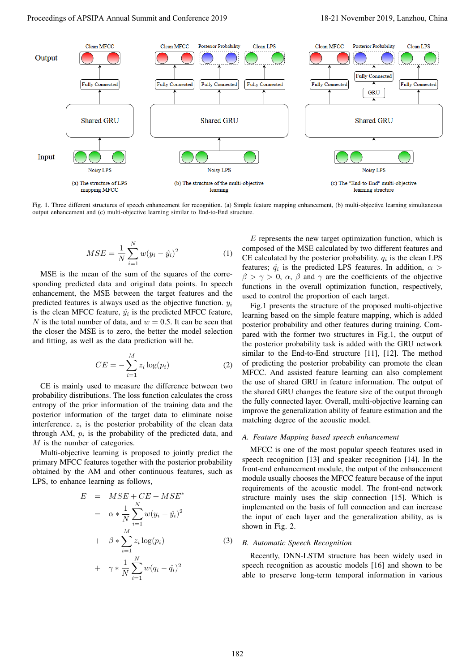

Fig. 1. Three different structures of speech enhancement for recognition. (a) Simple feature mapping enhancement, (b) multi-objective learning simultaneous output enhancement and (c) multi-objective learning similar to End-to-End structure.

$$
MSE = \frac{1}{N} \sum_{i=1}^{N} w(y_i - \hat{y}_i)^2
$$
 (1)

MSE is the mean of the sum of the squares of the corresponding predicted data and original data points. In speech enhancement, the MSE between the target features and the predicted features is always used as the objective function.  $y_i$ is the clean MFCC feature,  $\hat{y}_i$  is the predicted MFCC feature, N is the total number of data, and  $w = 0.5$ . It can be seen that the closer the MSE is to zero, the better the model selection and fitting, as well as the data prediction will be.

$$
CE = -\sum_{i=1}^{M} z_i \log(p_i) \tag{2}
$$

CE is mainly used to measure the difference between two probability distributions. The loss function calculates the cross entropy of the prior information of the training data and the posterior information of the target data to eliminate noise interference.  $z_i$  is the posterior probability of the clean data through AM,  $p_i$  is the probability of the predicted data, and M is the number of categories.

Multi-objective learning is proposed to jointly predict the primary MFCC features together with the posterior probability obtained by the AM and other continuous features, such as LPS, to enhance learning as follows,

$$
E = MSE + CE + MSE^*
$$
  
\n
$$
= \alpha * \frac{1}{N} \sum_{i=1}^{N} w(y_i - \hat{y}_i)^2
$$
  
\n
$$
+ \beta * \sum_{i=1}^{M} z_i \log(p_i)
$$
  
\n
$$
+ \gamma * \frac{1}{N} \sum_{i=1}^{N} w(q_i - \hat{q}_i)^2
$$
\n(3)

 $E$  represents the new target optimization function, which is composed of the MSE calculated by two different features and CE calculated by the posterior probability.  $q_i$  is the clean LPS features;  $\hat{q}_i$  is the predicted LPS features. In addition,  $\alpha >$  $\beta > \gamma > 0$ ,  $\alpha$ ,  $\beta$  and  $\gamma$  are the coefficients of the objective functions in the overall optimization function, respectively, used to control the proportion of each target.

Fig.1 presents the structure of the proposed multi-objective learning based on the simple feature mapping, which is added posterior probability and other features during training. Compared with the former two structures in Fig.1, the output of the posterior probability task is added with the GRU network similar to the End-to-End structure [11], [12]. The method of predicting the posterior probability can promote the clean MFCC. And assisted feature learning can also complement the use of shared GRU in feature information. The output of the shared GRU changes the feature size of the output through the fully connected layer. Overall, multi-objective learning can improve the generalization ability of feature estimation and the matching degree of the acoustic model.

## *A. Feature Mapping based speech enhancement*

MFCC is one of the most popular speech features used in speech recognition [13] and speaker recognition [14]. In the front-end enhancement module, the output of the enhancement module usually chooses the MFCC feature because of the input requirements of the acoustic model. The front-end network structure mainly uses the skip connection [15]. Which is implemented on the basis of full connection and can increase the input of each layer and the generalization ability, as is shown in Fig. 2.

## *B. Automatic Speech Recognition*

Recently, DNN-LSTM structure has been widely used in speech recognition as acoustic models [16] and shown to be able to preserve long-term temporal information in various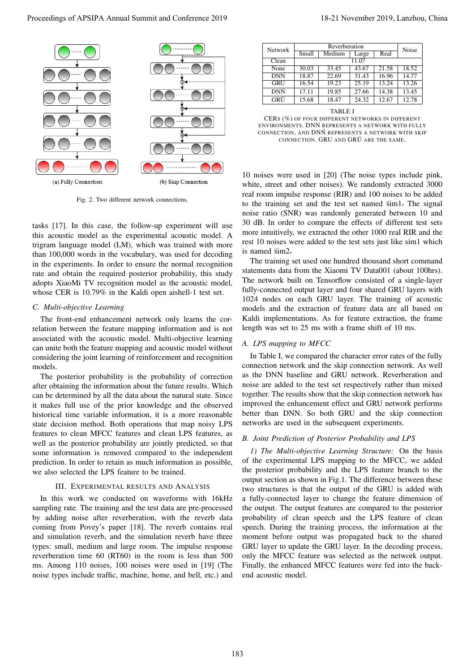

Fig. 2. Two different network connections.

tasks [17]. In this case, the follow-up experiment will use this acoustic model as the experimental acoustic model. A trigram language model (LM), which was trained with more than 100,000 words in the vocabulary, was used for decoding in the experiments. In order to ensure the normal recognition rate and obtain the required posterior probability, this study adopts XiaoMi TV recognition model as the acoustic model, whose CER is 10.79% in the Kaldi open aishell-1 test set.

#### *C. Multi-objective Learning*

The front-end enhancement network only learns the correlation between the feature mapping information and is not associated with the acoustic model. Multi-objective learning can unite both the feature mapping and acoustic model without considering the joint learning of reinforcement and recognition models.

The posterior probability is the probability of correction after obtaining the information about the future results. Which can be determined by all the data about the natural state. Since it makes full use of the prior knowledge and the observed historical time variable information, it is a more reasonable state decision method. Both operations that map noisy LPS features to clean MFCC features and clean LPS features, as well as the posterior probability are jointly predicted, so that some information is removed compared to the independent prediction. In order to retain as much information as possible, we also selected the LPS feature to be trained.

## III. EXPERIMENTAL RESULTS AND ANALYSIS

In this work we conducted on waveforms with 16kHz sampling rate. The training and the test data are pre-processed by adding noise after reverberation, with the reverb data coming from Povey's paper [18]. The reverb contains real and simulation reverb, and the simulation reverb have three types: small, medium and large room. The impulse response reverberation time 60 (RT60) in the room is less than 500 ms. Among 110 noises, 100 noises were used in [19] (The noise types include traffic, machine, home, and bell, etc.) and

| <b>Network</b> | Reverberation |        |       |       | Noise |
|----------------|---------------|--------|-------|-------|-------|
|                | Small         | Medium | Large | Real  |       |
| Clean          | 11.07         |        |       |       |       |
| None           | 30.03         | 33.45  | 43.67 | 21.58 | 18.52 |
| <b>DNN</b>     | 18.87         | 22.69  | 31.43 | 16.96 | 14.77 |
| GRU            | 16.54         | 19.23  | 25.19 | 13.24 | 13.26 |
| DNŃ            | 17.11         | 19.85  | 27.66 | 14.38 | 13.45 |
| GRÚ            | 15.68         | 18.47  | 24.32 | 12.67 | 12.78 |

TABLE I CERS (%) OF FOUR DIFFERENT NETWORKS IN DIFFERENT ENVIRONMENTS. DNN REPRESENTS A NETWORK WITH FULLY CONNECTION, AND DNN´ REPRESENTS A NETWORK WITH SKIP CONNECTION. GRU AND GRU ARE THE SAME.

10 noises were used in [20] (The noise types include pink, white, street and other noises). We randomly extracted 3000 real room impulse response (RIR) and 100 noises to be added to the training set and the test set named sim1. The signal noise ratio (SNR) was randomly generated between 10 and 30 dB. In order to compare the effects of different test sets more intuitively, we extracted the other 1000 real RIR and the rest 10 noises were added to the test sets just like sim1 which is named  $\text{sim2}$ .

The training set used one hundred thousand short command statements data from the Xiaomi TV Data001 (about 100hrs). The network built on Tensorflow consisted of a single-layer fully-connected output layer and four shared GRU layers with 1024 nodes on each GRU layer. The training of acoustic models and the extraction of feature data are all based on Kaldi implementations. As for feature extraction, the frame length was set to 25 ms with a frame shift of 10 ms.

## *A. LPS mapping to MFCC*

In Table I, we compared the character error rates of the fully connection network and the skip connection network. As well as the DNN baseline and GRU network. Reverberation and noise are added to the test set respectively rather than mixed together. The results show that the skip connection network has improved the enhancement effect and GRU network performs better than DNN. So both GRU and the skip connection networks are used in the subsequent experiments.

#### *B. Joint Prediction of Posterior Probability and LPS*

*1) The Multi-objective Learning Structure:* On the basis of the experimental LPS mapping to the MFCC, we added the posterior probability and the LPS feature branch to the output section as shown in Fig.1. The difference between these two structures is that the output of the GRU is added with a fully-connected layer to change the feature dimension of the output. The output features are compared to the posterior probability of clean speech and the LPS feature of clean speech. During the training process, the information at the moment before output was propagated back to the shared GRU layer to update the GRU layer. In the decoding process, only the MFCC feature was selected as the network output. Finally, the enhanced MFCC features were fed into the backend acoustic model.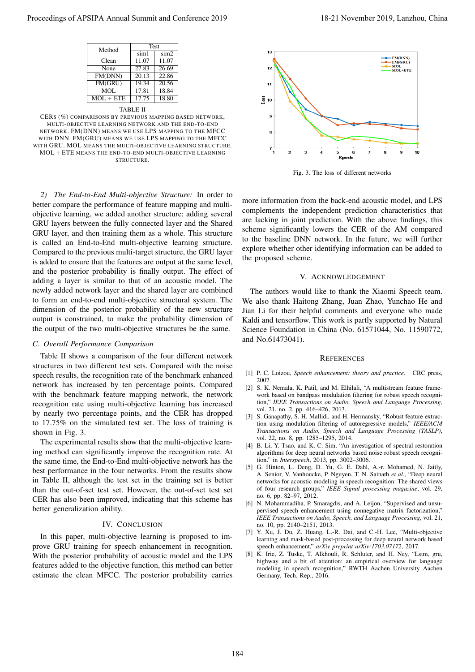| Method      | <b>Test</b> |          |  |
|-------------|-------------|----------|--|
|             | $\sin 1$    | $\sin 2$ |  |
| Clean       | 11.07       | 11.07    |  |
| None        | 27.83       | 26.69    |  |
| FM(DNN)     | 20.13       | 22.86    |  |
| FM(GRU)     | 19.34       | 20.56    |  |
| MOL         | 17.81       | 18.84    |  |
| $MOL + ETE$ | 17.75       | 18.80    |  |
|             |             |          |  |

TABLE II CERS (%) COMPARISONS BY PREVIOUS MAPPING BASED NETWORK, MULTI-OBJECTIVE LEARNING NETWORK AND THE END-TO-END NETWORK. FM(DNN) MEANS WE USE LPS MAPPING TO THE MFCC WITH DNN. FM(GRU) MEANS WE USE LPS MAPPING TO THE MFCC WITH GRU. MOL MEANS THE MULTI-OBJECTIVE LEARNING STRUCTURE. MOL + ETE MEANS THE END-TO-END MULTI-OBJECTIVE LEARNING STRUCTURE.

*2) The End-to-End Multi-objective Structure:* In order to better compare the performance of feature mapping and multiobjective learning, we added another structure: adding several GRU layers between the fully connected layer and the Shared GRU layer, and then training them as a whole. This structure is called an End-to-End multi-objective learning structure. Compared to the previous multi-target structure, the GRU layer is added to ensure that the features are output at the same level, and the posterior probability is finally output. The effect of adding a layer is similar to that of an acoustic model. The newly added network layer and the shared layer are combined to form an end-to-end multi-objective structural system. The dimension of the posterior probability of the new structure output is constrained, to make the probability dimension of the output of the two multi-objective structures be the same. Proceeding of APSIPA Annual Summit at China 1968 1988.<br>
The conference 2019 is a conference 2019 in the conference 2019 in the conference 2018 in the conference 2018 in the conference 2018 in the conference 2018 in the co

## *C. Overall Performance Comparison*

Table II shows a comparison of the four different network structures in two different test sets. Compared with the noise speech results, the recognition rate of the benchmark enhanced network has increased by ten percentage points. Compared with the benchmark feature mapping network, the network recognition rate using multi-objective learning has increased by nearly two percentage points, and the CER has dropped to 17.75% on the simulated test set. The loss of training is shown in Fig. 3.

The experimental results show that the multi-objective learning method can significantly improve the recognition rate. At the same time, the End-to-End multi-objective network has the best performance in the four networks. From the results show in Table II, although the test set in the training set is better than the out-of-set test set. However, the out-of-set test set CER has also been improved, indicating that this scheme has better generalization ability.

### IV. CONCLUSION

In this paper, multi-objective learning is proposed to improve GRU training for speech enhancement in recognition. With the posterior probability of acoustic model and the LPS features added to the objective function, this method can better estimate the clean MFCC. The posterior probability carries



Fig. 3. The loss of different networks

more information from the back-end acoustic model, and LPS complements the independent prediction characteristics that are lacking in joint prediction. With the above findings, this scheme significantly lowers the CER of the AM compared to the baseline DNN network. In the future, we will further explore whether other identifying information can be added to the proposed scheme.

#### V. ACKNOWLEDGEMENT

The authors would like to thank the Xiaomi Speech team. We also thank Haitong Zhang, Juan Zhao, Yunchao He and Jian Li for their helpful comments and everyone who made Kaldi and tensorflow. This work is partly supported by Natural Science Foundation in China (No. 61571044, No. 11590772, and No.61473041).

#### **REFERENCES**

- [1] P. C. Loizou, *Speech enhancement: theory and practice*. CRC press, 2007.
- [2] S. K. Nemala, K. Patil, and M. Elhilali, "A multistream feature framework based on bandpass modulation filtering for robust speech recognition," *IEEE Transactions on Audio, Speech and Language Processing*, vol. 21, no. 2, pp. 416–426, 2013.
- [3] S. Ganapathy, S. H. Mallidi, and H. Hermansky, "Robust feature extraction using modulation filtering of autoregressive models," *IEEE/ACM Transactions on Audio, Speech and Language Processing (TASLP)*, vol. 22, no. 8, pp. 1285–1295, 2014.
- [4] B. Li, Y. Tsao, and K. C. Sim, "An investigation of spectral restoration algorithms for deep neural networks based noise robust speech recognition." in *Interspeech*, 2013, pp. 3002–3006.
- [5] G. Hinton, L. Deng, D. Yu, G. E. Dahl, A.-r. Mohamed, N. Jaitly, A. Senior, V. Vanhoucke, P. Nguyen, T. N. Sainath *et al.*, "Deep neural networks for acoustic modeling in speech recognition: The shared views of four research groups," *IEEE Signal processing magazine*, vol. 29, no. 6, pp. 82–97, 2012.
- [6] N. Mohammadiha, P. Smaragdis, and A. Leijon, "Supervised and unsupervised speech enhancement using nonnegative matrix factorization," *IEEE Transactions on Audio, Speech, and Language Processing*, vol. 21, no. 10, pp. 2140–2151, 2013.
- [7] Y. Xu, J. Du, Z. Huang, L.-R. Dai, and C.-H. Lee, "Multi-objective learning and mask-based post-processing for deep neural network based speech enhancement," *arXiv preprint arXiv:1703.07172*, 2017.
- [8] K. Irie, Z. Tuske, T. Alkhouli, R. Schluter, and H. Ney, "Lstm, gru, highway and a bit of attention: an empirical overview for language modeling in speech recognition," RWTH Aachen University Aachen Germany, Tech. Rep., 2016.